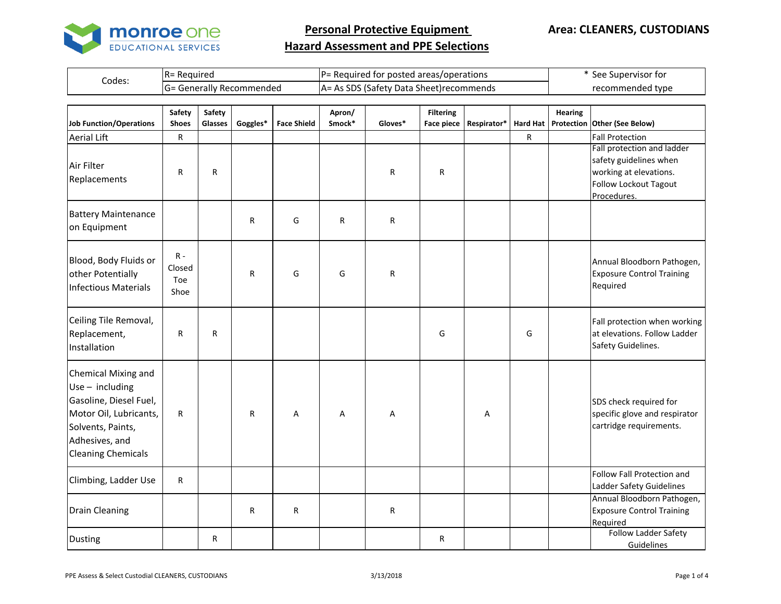

| Generally Recommended<br>Data Sheet)recommends<br>าded tvpe<br>recomme.<br>.satet i<br>I (¬=<br>- 31 7 | Codes: | Required<br>-טו | IP=<br>posted areas/operations <sup>.</sup><br>tor<br>Required | See<br>. Supervisor for |
|--------------------------------------------------------------------------------------------------------|--------|-----------------|----------------------------------------------------------------|-------------------------|
|                                                                                                        |        |                 |                                                                |                         |

| <b>Job Function/Operations</b>                                                                                                                                   | Safety<br><b>Shoes</b>         | Safety<br>Glasses | Goggles* | <b>Face Shield</b> | Apron/<br>Smock* | Gloves* | <b>Filtering</b><br><b>Face piece</b> | Respirator*   Hard Hat |   | <b>Hearing</b> | Protection Other (See Below)                                                                                                  |
|------------------------------------------------------------------------------------------------------------------------------------------------------------------|--------------------------------|-------------------|----------|--------------------|------------------|---------|---------------------------------------|------------------------|---|----------------|-------------------------------------------------------------------------------------------------------------------------------|
| <b>Aerial Lift</b>                                                                                                                                               | R                              |                   |          |                    |                  |         |                                       |                        | R |                | <b>Fall Protection</b>                                                                                                        |
| Air Filter<br>Replacements                                                                                                                                       | $\mathsf{R}$                   | R                 |          |                    |                  | R       | R                                     |                        |   |                | Fall protection and ladder<br>safety guidelines when<br>working at elevations.<br><b>Follow Lockout Tagout</b><br>Procedures. |
| <b>Battery Maintenance</b><br>on Equipment                                                                                                                       |                                |                   | R        | G                  | $\mathsf{R}$     | R       |                                       |                        |   |                |                                                                                                                               |
| Blood, Body Fluids or<br>other Potentially<br><b>Infectious Materials</b>                                                                                        | $R -$<br>Closed<br>Toe<br>Shoe |                   | R        | G                  | G                | R       |                                       |                        |   |                | Annual Bloodborn Pathogen,<br><b>Exposure Control Training</b><br>Required                                                    |
| Ceiling Tile Removal,<br>Replacement,<br>Installation                                                                                                            | R                              | R                 |          |                    |                  |         | G                                     |                        | G |                | Fall protection when working<br>at elevations. Follow Ladder<br>Safety Guidelines.                                            |
| Chemical Mixing and<br>$Use - including$<br>Gasoline, Diesel Fuel,<br>Motor Oil, Lubricants,<br>Solvents, Paints,<br>Adhesives, and<br><b>Cleaning Chemicals</b> | $\mathsf{R}$                   |                   | R        | A                  | Α                | Α       |                                       | Α                      |   |                | SDS check required for<br>specific glove and respirator<br>cartridge requirements.                                            |
| Climbing, Ladder Use                                                                                                                                             | $\mathsf{R}$                   |                   |          |                    |                  |         |                                       |                        |   |                | Follow Fall Protection and<br>Ladder Safety Guidelines                                                                        |
| <b>Drain Cleaning</b>                                                                                                                                            |                                |                   | R        | $\mathsf{R}$       |                  | R       |                                       |                        |   |                | Annual Bloodborn Pathogen,<br><b>Exposure Control Training</b><br>Required                                                    |
| <b>Dusting</b>                                                                                                                                                   |                                | $\mathsf{R}$      |          |                    |                  |         | $\mathsf{R}$                          |                        |   |                | <b>Follow Ladder Safety</b><br>Guidelines                                                                                     |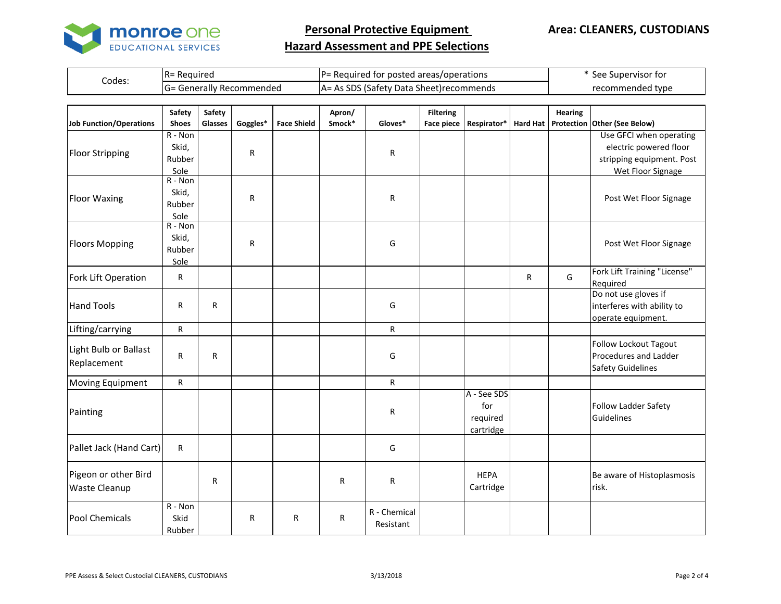

|        | - Reauired                    | IP=                                                          | . Supervisor for |  |  |
|--------|-------------------------------|--------------------------------------------------------------|------------------|--|--|
|        | IR=                           | = Required for posted areas/operations                       | see              |  |  |
| Codes: | Generally Recommended<br>I(T) | As SDS<br>a Sheet)recommends<br>Data<br>lSafety.<br>$AA = /$ | recommended type |  |  |

|                                | Safety       | Safety       |          |                    | Apron/ |              | <b>Filtering</b>  |             |                 | <b>Hearing</b> |                                          |
|--------------------------------|--------------|--------------|----------|--------------------|--------|--------------|-------------------|-------------|-----------------|----------------|------------------------------------------|
| <b>Job Function/Operations</b> | <b>Shoes</b> | Glasses      | Goggles* | <b>Face Shield</b> | Smock* | Gloves*      | <b>Face piece</b> | Respirator* | <b>Hard Hat</b> |                | Protection Other (See Below)             |
|                                | R - Non      |              |          |                    |        |              |                   |             |                 |                | Use GFCI when operating                  |
| <b>Floor Stripping</b>         | Skid,        |              | R        |                    |        | ${\sf R}$    |                   |             |                 |                | electric powered floor                   |
|                                | Rubber       |              |          |                    |        |              |                   |             |                 |                | stripping equipment. Post                |
|                                | Sole         |              |          |                    |        |              |                   |             |                 |                | Wet Floor Signage                        |
|                                | $R - Non$    |              |          |                    |        |              |                   |             |                 |                |                                          |
| <b>Floor Waxing</b>            | Skid,        |              | R        |                    |        | R            |                   |             |                 |                | Post Wet Floor Signage                   |
|                                | Rubber       |              |          |                    |        |              |                   |             |                 |                |                                          |
|                                | Sole         |              |          |                    |        |              |                   |             |                 |                |                                          |
|                                | R - Non      |              |          |                    |        |              |                   |             |                 |                |                                          |
| <b>Floors Mopping</b>          | Skid,        |              | R        |                    |        | G            |                   |             |                 |                | Post Wet Floor Signage                   |
|                                | Rubber       |              |          |                    |        |              |                   |             |                 |                |                                          |
|                                | Sole         |              |          |                    |        |              |                   |             |                 |                |                                          |
| Fork Lift Operation            | $\mathsf{R}$ |              |          |                    |        |              |                   |             | R               | G              | Fork Lift Training "License"<br>Required |
|                                |              |              |          |                    |        |              |                   |             |                 |                | Do not use gloves if                     |
| <b>Hand Tools</b>              | $\mathsf{R}$ | $\mathsf{R}$ |          |                    |        | G            |                   |             |                 |                | interferes with ability to               |
|                                |              |              |          |                    |        |              |                   |             |                 |                | operate equipment.                       |
| Lifting/carrying               | $\mathsf{R}$ |              |          |                    |        | $\mathsf R$  |                   |             |                 |                |                                          |
|                                |              |              |          |                    |        |              |                   |             |                 |                | Follow Lockout Tagout                    |
| Light Bulb or Ballast          | $\mathsf{R}$ | R            |          |                    |        | G            |                   |             |                 |                | Procedures and Ladder                    |
| Replacement                    |              |              |          |                    |        |              |                   |             |                 |                | <b>Safety Guidelines</b>                 |
| Moving Equipment               | $\mathsf{R}$ |              |          |                    |        | $\mathsf R$  |                   |             |                 |                |                                          |
|                                |              |              |          |                    |        |              |                   | A - See SDS |                 |                |                                          |
|                                |              |              |          |                    |        |              |                   | for         |                 |                | Follow Ladder Safety                     |
| Painting                       |              |              |          |                    |        | R            |                   | required    |                 |                | Guidelines                               |
|                                |              |              |          |                    |        |              |                   | cartridge   |                 |                |                                          |
| Pallet Jack (Hand Cart)        | $\mathsf{R}$ |              |          |                    |        | G            |                   |             |                 |                |                                          |
| Pigeon or other Bird           |              |              |          |                    |        |              |                   |             |                 |                |                                          |
|                                |              | R            |          |                    | R      | R            |                   | <b>HEPA</b> |                 |                | Be aware of Histoplasmosis               |
| <b>Waste Cleanup</b>           |              |              |          |                    |        |              |                   | Cartridge   |                 |                | risk.                                    |
|                                | $R - Non$    |              |          |                    |        | R - Chemical |                   |             |                 |                |                                          |
| Pool Chemicals                 | Skid         |              | R        | R                  | R      |              |                   |             |                 |                |                                          |
|                                | Rubber       |              |          |                    |        | Resistant    |                   |             |                 |                |                                          |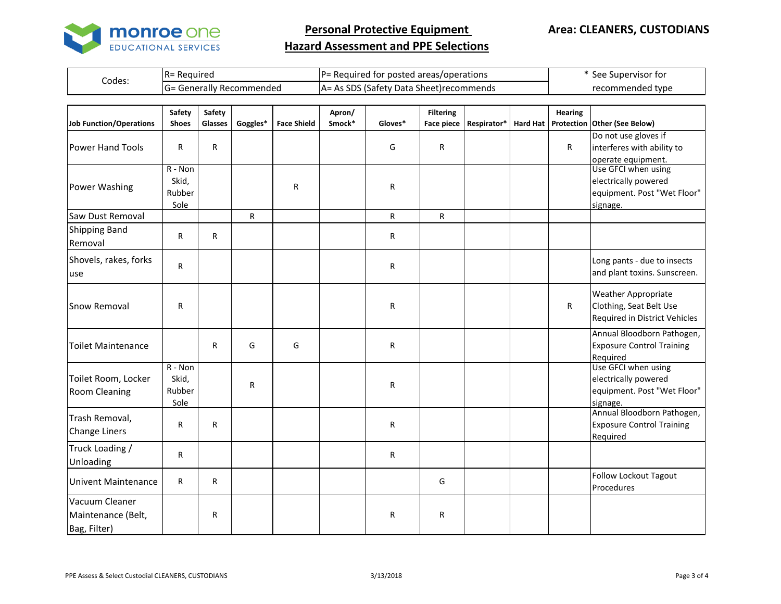

|        | = Reauired<br>IR=                  | $P$ = Required for posted areas/operations         | See Supervisor for |  |  |
|--------|------------------------------------|----------------------------------------------------|--------------------|--|--|
| Codes: | = Generally Recommended<br>ll (¬ = | As SDS<br>(Safety Data Sheet)recommends<br>$A = I$ | recommended type   |  |  |

| <b>Job Function/Operations</b>                       | Safety<br><b>Shoes</b>               | Safety<br>Glasses | Goggles* | <b>Face Shield</b> | Apron/<br>Smock* | Gloves*      | <b>Filtering</b><br><b>Face piece</b> | Respirator* | <b>Hard Hat</b> | <b>Hearing</b> | Protection Other (See Below)                                                           |
|------------------------------------------------------|--------------------------------------|-------------------|----------|--------------------|------------------|--------------|---------------------------------------|-------------|-----------------|----------------|----------------------------------------------------------------------------------------|
| <b>Power Hand Tools</b>                              | $\mathsf{R}$                         | $\mathsf{R}$      |          |                    |                  | G            | R                                     |             |                 | $\mathsf{R}$   | Do not use gloves if<br>interferes with ability to<br>operate equipment.               |
| Power Washing                                        | $R - Non$<br>Skid,<br>Rubber<br>Sole |                   |          | R                  |                  | $\mathsf R$  |                                       |             |                 |                | Use GFCI when using<br>electrically powered<br>equipment. Post "Wet Floor"<br>signage. |
| Saw Dust Removal                                     |                                      |                   | R.       |                    |                  | $\mathsf{R}$ | R                                     |             |                 |                |                                                                                        |
| <b>Shipping Band</b><br>Removal                      | $\mathsf{R}$                         | R                 |          |                    |                  | R            |                                       |             |                 |                |                                                                                        |
| Shovels, rakes, forks<br>use                         | R                                    |                   |          |                    |                  | R            |                                       |             |                 |                | Long pants - due to insects<br>and plant toxins. Sunscreen.                            |
| <b>Snow Removal</b>                                  | $\mathsf{R}$                         |                   |          |                    |                  | $\mathsf R$  |                                       |             |                 | R              | <b>Weather Appropriate</b><br>Clothing, Seat Belt Use<br>Required in District Vehicles |
| <b>Toilet Maintenance</b>                            |                                      | R                 | G        | G                  |                  | R            |                                       |             |                 |                | Annual Bloodborn Pathogen,<br><b>Exposure Control Training</b><br>Required             |
| Toilet Room, Locker<br>Room Cleaning                 | $R - Non$<br>Skid,<br>Rubber<br>Sole |                   | R        |                    |                  | $\mathsf R$  |                                       |             |                 |                | Use GFCI when using<br>electrically powered<br>equipment. Post "Wet Floor"<br>signage. |
| Trash Removal,<br><b>Change Liners</b>               | R                                    | $\mathsf{R}$      |          |                    |                  | ${\sf R}$    |                                       |             |                 |                | Annual Bloodborn Pathogen,<br><b>Exposure Control Training</b><br>Required             |
| Truck Loading /<br>Unloading                         | $\mathsf{R}$                         |                   |          |                    |                  | $\mathsf{R}$ |                                       |             |                 |                |                                                                                        |
| <b>Univent Maintenance</b>                           | $\mathsf{R}$                         | $\mathsf{R}$      |          |                    |                  |              | G                                     |             |                 |                | Follow Lockout Tagout<br>Procedures                                                    |
| Vacuum Cleaner<br>Maintenance (Belt,<br>Bag, Filter) |                                      | R                 |          |                    |                  | $\mathsf R$  | R                                     |             |                 |                |                                                                                        |